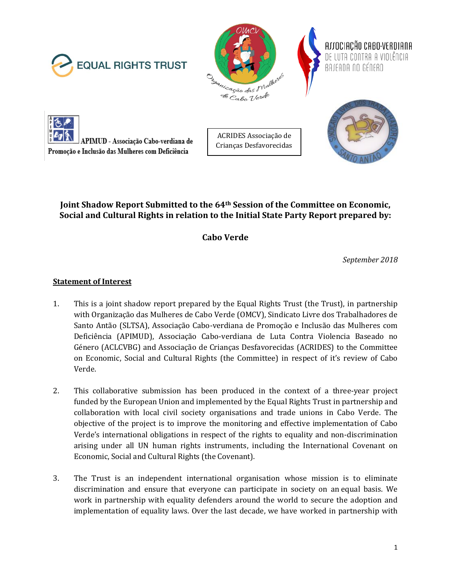







ACRIDES Associação de Crianças Desfavorecidas



# **Joint Shadow Report Submitted to the 64th Session of the Committee on Economic, Social and Cultural Rights in relation to the Initial State Party Report prepared by:**

**Cabo Verde** 

*September 2018*

# **Statement of Interest**

- 1. This is a joint shadow report prepared by the Equal Rights Trust (the Trust), in partnership with Organização das Mulheres de Cabo Verde (OMCV), Sindicato Livre dos Trabalhadores de Santo Antão (SLTSA), Associação Cabo-verdiana de Promoção e Inclusão das Mulheres com Deficiência (APIMUD), Associação Cabo-verdiana de Luta Contra Violencia Baseado no Género (ACLCVBG) and Associação de Crianças Desfavorecidas (ACRIDES) to the Committee on Economic, Social and Cultural Rights (the Committee) in respect of it's review of Cabo Verde.
- 2. This collaborative submission has been produced in the context of a three-year project funded by the European Union and implemented by the Equal Rights Trust in partnership and collaboration with local civil society organisations and trade unions in Cabo Verde. The objective of the project is to improve the monitoring and effective implementation of Cabo Verde's international obligations in respect of the rights to equality and non-discrimination arising under all UN human rights instruments, including the International Covenant on Economic, Social and Cultural Rights (the Covenant).
- 3. The Trust is an independent international organisation whose mission is to eliminate discrimination and ensure that everyone can participate in society on an equal basis. We work in partnership with equality defenders around the world to secure the adoption and implementation of equality laws. Over the last decade, we have worked in partnership with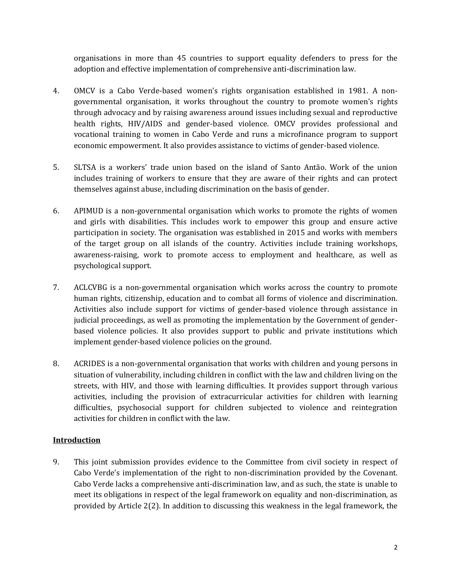organisations in more than 45 countries to support equality defenders to press for the adoption and effective implementation of comprehensive anti-discrimination law.

- 4. OMCV is a Cabo Verde-based women's rights organisation established in 1981. A nongovernmental organisation, it works throughout the country to promote women's rights through advocacy and by raising awareness around issues including sexual and reproductive health rights, HIV/AIDS and gender-based violence. OMCV provides professional and vocational training to women in Cabo Verde and runs a microfinance program to support economic empowerment. It also provides assistance to victims of gender-based violence.
- 5. SLTSA is a workers' trade union based on the island of Santo Antão. Work of the union includes training of workers to ensure that they are aware of their rights and can protect themselves against abuse, including discrimination on the basis of gender.
- 6. APIMUD is a non-governmental organisation which works to promote the rights of women and girls with disabilities. This includes work to empower this group and ensure active participation in society. The organisation was established in 2015 and works with members of the target group on all islands of the country. Activities include training workshops, awareness-raising, work to promote access to employment and healthcare, as well as psychological support.
- 7. ACLCVBG is a non-governmental organisation which works across the country to promote human rights, citizenship, education and to combat all forms of violence and discrimination. Activities also include support for victims of gender-based violence through assistance in judicial proceedings, as well as promoting the implementation by the Government of genderbased violence policies. It also provides support to public and private institutions which implement gender-based violence policies on the ground.
- 8. ACRIDES is a non-governmental organisation that works with children and young persons in situation of vulnerability, including children in conflict with the law and children living on the streets, with HIV, and those with learning difficulties. It provides support through various activities, including the provision of extracurricular activities for children with learning difficulties, psychosocial support for children subjected to violence and reintegration activities for children in conflict with the law.

#### **Introduction**

9. This joint submission provides evidence to the Committee from civil society in respect of Cabo Verde's implementation of the right to non-discrimination provided by the Covenant. Cabo Verde lacks a comprehensive anti-discrimination law, and as such, the state is unable to meet its obligations in respect of the legal framework on equality and non-discrimination, as provided by Article 2(2). In addition to discussing this weakness in the legal framework, the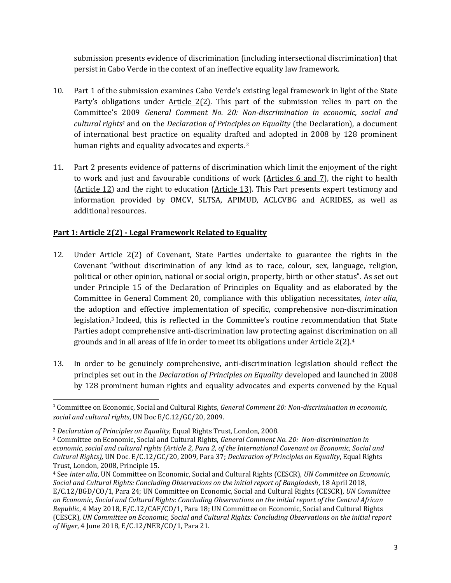submission presents evidence of discrimination (including intersectional discrimination) that persist in Cabo Verde in the context of an ineffective equality law framework.

- 10. Part 1 of the submission examines Cabo Verde's existing legal framework in light of the State Party's obligations under Article 2(2). This part of the submission relies in part on the Committee's 2009 *General Comment No. 20: Non-discrimination in economic, social and cultural rights<sup>1</sup>* and on the *Declaration of Principles on Equality* (the Declaration), a document of international best practice on equality drafted and adopted in 2008 by 128 prominent human rights and equality advocates and experts.<sup>2</sup>
- 11. Part 2 presents evidence of patterns of discrimination which limit the enjoyment of the right to work and just and favourable conditions of work (Articles 6 and 7), the right to health (Article 12) and the right to education (Article 13). This Part presents expert testimony and information provided by OMCV, SLTSA, APIMUD, ACLCVBG and ACRIDES, as well as additional resources.

# **Part 1: Article 2(2) - Legal Framework Related to Equality**

- 12. Under Article 2(2) of Covenant, State Parties undertake to guarantee the rights in the Covenant "without discrimination of any kind as to race, colour, sex, language, religion, political or other opinion, national or social origin, property, birth or other status"*.* As set out under Principle 15 of the Declaration of Principles on Equality and as elaborated by the Committee in General Comment 20, compliance with this obligation necessitates, *inter alia*, the adoption and effective implementation of specific, comprehensive non-discrimination legislation.<sup>3</sup> Indeed, this is reflected in the Committee's routine recommendation that State Parties adopt comprehensive anti-discrimination law protecting against discrimination on all grounds and in all areas of life in order to meet its obligations under Article 2(2).<sup>4</sup>
- 13. In order to be genuinely comprehensive, anti-discrimination legislation should reflect the principles set out in the *Declaration of Principles on Equality* developed and launched in 2008 by 128 prominent human rights and equality advocates and experts convened by the Equal

<sup>1</sup> Committee on Economic, Social and Cultural Rights, *General Comment 20: Non-discrimination in economic, social and cultural rights*, UN Doc E/C.12/GC/20, 2009.

<sup>2</sup> *Declaration of Principles on Equality*, Equal Rights Trust, London, 2008.

<sup>3</sup> Committee on Economic, Social and Cultural Rights, *General Comment No. 20: Non-discrimination in economic, social and cultural rights (Article 2, Para 2, of the International Covenant on Economic, Social and Cultural Rights),* UN Doc. E/C.12/GC/20, 2009, Para 37; *Declaration of Principles on Equality*, Equal Rights Trust, London, 2008, Principle 15.

<sup>4</sup> See *inter alia*, UN Committee on Economic, Social and Cultural Rights (CESCR), *UN Committee on Economic, Social and Cultural Rights: Concluding Observations on the initial report of Bangladesh*, 18 April 2018, E/C.12/BGD/CO/1, Para 24; UN Committee on Economic, Social and Cultural Rights (CESCR), *UN Committee on Economic, Social and Cultural Rights: Concluding Observations on the initial report of the Central African Republic*, 4 May 2018, E/C.12/CAF/CO/1, Para 18; UN Committee on Economic, Social and Cultural Rights (CESCR), *UN Committee on Economic, Social and Cultural Rights: Concluding Observations on the initial report of Niger*, 4 June 2018, E/C.12/NER/CO/1, Para 21.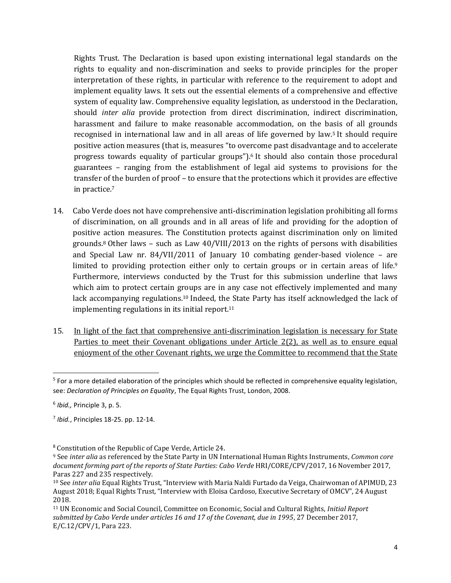Rights Trust. The Declaration is based upon existing international legal standards on the rights to equality and non-discrimination and seeks to provide principles for the proper interpretation of these rights, in particular with reference to the requirement to adopt and implement equality laws. It sets out the essential elements of a comprehensive and effective system of equality law. Comprehensive equality legislation, as understood in the Declaration, should *inter alia* provide protection from direct discrimination, indirect discrimination, harassment and failure to make reasonable accommodation, on the basis of all grounds recognised in international law and in all areas of life governed by law.<sup>5</sup> It should require positive action measures (that is, measures "to overcome past disadvantage and to accelerate progress towards equality of particular groups").<sup>6</sup> It should also contain those procedural guarantees – ranging from the establishment of legal aid systems to provisions for the transfer of the burden of proof – to ensure that the protections which it provides are effective in practice.<sup>7</sup>

- 14. Cabo Verde does not have comprehensive anti-discrimination legislation prohibiting all forms of discrimination, on all grounds and in all areas of life and providing for the adoption of positive action measures. The Constitution protects against discrimination only on limited grounds.<sup>8</sup> Other laws – such as Law 40/VIII/2013 on the rights of persons with disabilities and Special Law nr. 84/VII/2011 of January 10 combating gender-based violence – are limited to providing protection either only to certain groups or in certain areas of life.<sup>9</sup> Furthermore, interviews conducted by the Trust for this submission underline that laws which aim to protect certain groups are in any case not effectively implemented and many lack accompanying regulations.<sup>10</sup> Indeed, the State Party has itself acknowledged the lack of implementing regulations in its initial report.<sup>11</sup>
- 15. In light of the fact that comprehensive anti-discrimination legislation is necessary for State Parties to meet their Covenant obligations under Article 2(2), as well as to ensure equal enjoyment of the other Covenant rights, we urge the Committee to recommend that the State

<sup>&</sup>lt;sup>5</sup> For a more detailed elaboration of the principles which should be reflected in comprehensive equality legislation, see: *Declaration of Principles on Equality*, The Equal Rights Trust, London, 2008.

<sup>6</sup> *Ibid.,* Principle 3, p. 5.

<sup>7</sup> *Ibid.*, Principles 18-25. pp. 12-14.

<sup>8</sup> Constitution of the Republic of Cape Verde, Article 24.

<sup>9</sup> See *inter alia* as referenced by the State Party in UN International Human Rights Instruments, *Common core*  document forming part of the reports of State Parties: Cabo Verde HRI/CORE/CPV/2017, 16 November 2017, Paras 227 and 235 respectively.

<sup>10</sup> See *inter alia* Equal Rights Trust, "Interview with Maria Naldi Furtado da Veiga, Chairwoman of APIMUD, 23 August 2018; Equal Rights Trust, "Interview with Eloisa Cardoso, Executive Secretary of OMCV", 24 August 2018.

<sup>11</sup> UN Economic and Social Council, Committee on Economic, Social and Cultural Rights, *Initial Report submitted by Cabo Verde under articles 16 and 17 of the Covenant, due in 1995*, 27 December 2017, E/C.12/CPV/1, Para 223.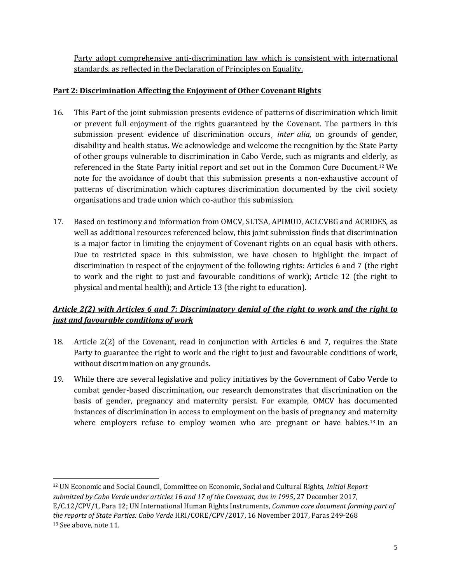Party adopt comprehensive anti-discrimination law which is consistent with international standards, as reflected in the Declaration of Principles on Equality.

#### **Part 2: Discrimination Affecting the Enjoyment of Other Covenant Rights**

- 16. This Part of the joint submission presents evidence of patterns of discrimination which limit or prevent full enjoyment of the rights guaranteed by the Covenant. The partners in this submission present evidence of discrimination occurs¸ *inter alia*, on grounds of gender, disability and health status. We acknowledge and welcome the recognition by the State Party of other groups vulnerable to discrimination in Cabo Verde, such as migrants and elderly, as referenced in the State Party initial report and set out in the Common Core Document. <sup>12</sup> We note for the avoidance of doubt that this submission presents a non-exhaustive account of patterns of discrimination which captures discrimination documented by the civil society organisations and trade union which co-author this submission.
- 17. Based on testimony and information from OMCV, SLTSA, APIMUD, ACLCVBG and ACRIDES, as well as additional resources referenced below, this joint submission finds that discrimination is a major factor in limiting the enjoyment of Covenant rights on an equal basis with others. Due to restricted space in this submission, we have chosen to highlight the impact of discrimination in respect of the enjoyment of the following rights: Articles 6 and 7 (the right to work and the right to just and favourable conditions of work); Article 12 (the right to physical and mental health); and Article 13 (the right to education).

# *Article 2(2) with Articles 6 and 7: Discriminatory denial of the right to work and the right to just and favourable conditions of work*

- 18. Article 2(2) of the Covenant, read in conjunction with Articles 6 and 7, requires the State Party to guarantee the right to work and the right to just and favourable conditions of work, without discrimination on any grounds.
- 19. While there are several legislative and policy initiatives by the Government of Cabo Verde to combat gender-based discrimination, our research demonstrates that discrimination on the basis of gender, pregnancy and maternity persist. For example, OMCV has documented instances of discrimination in access to employment on the basis of pregnancy and maternity where employers refuse to employ women who are pregnant or have babies.<sup>13</sup> In an

 $\overline{a}$ <sup>12</sup> UN Economic and Social Council, Committee on Economic, Social and Cultural Rights, *Initial Report submitted by Cabo Verde under articles 16 and 17 of the Covenant, due in 1995*, 27 December 2017, E/C.12/CPV/1, Para 12; UN International Human Rights Instruments, *Common core document forming part of the reports of State Parties: Cabo Verde* HRI/CORE/CPV/2017, 16 November 2017, Paras 249-268 <sup>13</sup> See above, note 11.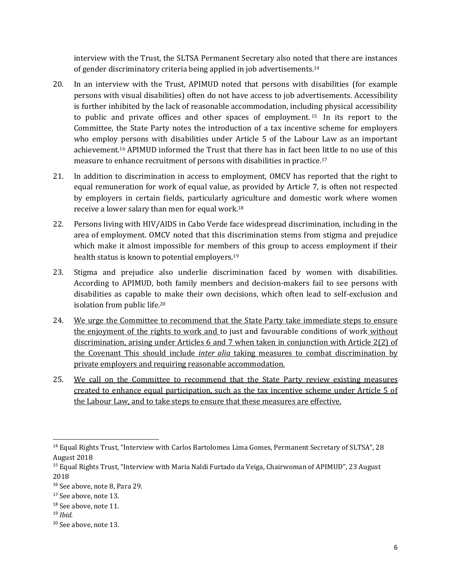interview with the Trust, the SLTSA Permanent Secretary also noted that there are instances of gender discriminatory criteria being applied in job advertisements.<sup>14</sup>

- 20. In an interview with the Trust, APIMUD noted that persons with disabilities (for example persons with visual disabilities) often do not have access to job advertisements. Accessibility is further inhibited by the lack of reasonable accommodation, including physical accessibility to public and private offices and other spaces of employment. <sup>15</sup> In its report to the Committee, the State Party notes the introduction of a tax incentive scheme for employers who employ persons with disabilities under Article 5 of the Labour Law as an important achievement.<sup>16</sup> APIMUD informed the Trust that there has in fact been little to no use of this measure to enhance recruitment of persons with disabilities in practice.<sup>17</sup>
- 21. In addition to discrimination in access to employment, OMCV has reported that the right to equal remuneration for work of equal value, as provided by Article 7, is often not respected by employers in certain fields, particularly agriculture and domestic work where women receive a lower salary than men for equal work.<sup>18</sup>
- 22. Persons living with HIV/AIDS in Cabo Verde face widespread discrimination, including in the area of employment. OMCV noted that this discrimination stems from stigma and prejudice which make it almost impossible for members of this group to access employment if their health status is known to potential employers.<sup>19</sup>
- 23. Stigma and prejudice also underlie discrimination faced by women with disabilities. According to APIMUD, both family members and decision-makers fail to see persons with disabilities as capable to make their own decisions, which often lead to self-exclusion and isolation from public life.<sup>20</sup>
- 24. We urge the Committee to recommend that the State Party take immediate steps to ensure the enjoyment of the rights to work and to just and favourable conditions of work without discrimination, arising under Articles 6 and 7 when taken in conjunction with Article 2(2) of the Covenant This should include *inter alia* taking measures to combat discrimination by private employers and requiring reasonable accommodation.
- 25. We call on the Committee to recommend that the State Party review existing measures created to enhance equal participation, such as the tax incentive scheme under Article 5 of the Labour Law, and to take steps to ensure that these measures are effective.

<sup>14</sup> Equal Rights Trust, "Interview with Carlos Bartolomeu Lima Gomes, Permanent Secretary of SLTSA", 28 August 2018

<sup>15</sup> Equal Rights Trust, "Interview with Maria Naldi Furtado da Veiga, Chairwoman of APIMUD", 23 August 2018

<sup>16</sup> See above, note 8, Para 29.

<sup>&</sup>lt;sup>17</sup> See above, note 13.

<sup>&</sup>lt;sup>18</sup> See above, note 11.

<sup>19</sup> *Ibid.*

<sup>20</sup> See above, note 13.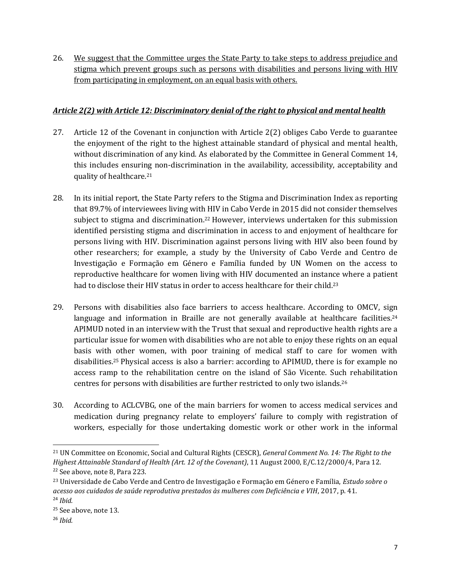26. We suggest that the Committee urges the State Party to take steps to address prejudice and stigma which prevent groups such as persons with disabilities and persons living with HIV from participating in employment, on an equal basis with others.

#### *Article 2(2) with Article 12: Discriminatory denial of the right to physical and mental health*

- 27. Article 12 of the Covenant in conjunction with Article 2(2) obliges Cabo Verde to guarantee the enjoyment of the right to the highest attainable standard of physical and mental health, without discrimination of any kind. As elaborated by the Committee in General Comment 14, this includes ensuring non-discrimination in the availability, accessibility, acceptability and quality of healthcare.<sup>21</sup>
- 28. In its initial report, the State Party refers to the Stigma and Discrimination Index as reporting that 89.7% of interviewees living with HIV in Cabo Verde in 2015 did not consider themselves subject to stigma and discrimination.<sup>22</sup> However, interviews undertaken for this submission identified persisting stigma and discrimination in access to and enjoyment of healthcare for persons living with HIV. Discrimination against persons living with HIV also been found by other researchers; for example, a study by the University of Cabo Verde and Centro de Investigação e Formação em Género e Família funded by UN Women on the access to reproductive healthcare for women living with HIV documented an instance where a patient had to disclose their HIV status in order to access healthcare for their child.<sup>23</sup>
- 29. Persons with disabilities also face barriers to access healthcare. According to OMCV, sign language and information in Braille are not generally available at healthcare facilities.<sup>24</sup> APIMUD noted in an interview with the Trust that sexual and reproductive health rights are a particular issue for women with disabilities who are not able to enjoy these rights on an equal basis with other women, with poor training of medical staff to care for women with disabilities.<sup>25</sup> Physical access is also a barrier: according to APIMUD, there is for example no access ramp to the rehabilitation centre on the island of São Vicente. Such rehabilitation centres for persons with disabilities are further restricted to only two islands.<sup>26</sup>
- 30. According to ACLCVBG, one of the main barriers for women to access medical services and medication during pregnancy relate to employers' failure to comply with registration of workers, especially for those undertaking domestic work or other work in the informal

<sup>21</sup> UN Committee on Economic, Social and Cultural Rights (CESCR), *General Comment No. 14: The Right to the Highest Attainable Standard of Health (Art. 12 of the Covenant)*, 11 August 2000, E/C.12/2000/4, Para 12. <sup>22</sup> See above, note 8, Para 223.

<sup>23</sup> Universidade de Cabo Verde and Centro de Investigação e Formação em Género e Família, *Estudo sobre o acesso aos cuidados de saúde reprodutiva prestados às mulheres com Deficiência e VIH*, 2017, p. 41. <sup>24</sup> *Ibid.*

<sup>&</sup>lt;sup>25</sup> See above, note 13.

<sup>26</sup> *Ibid.*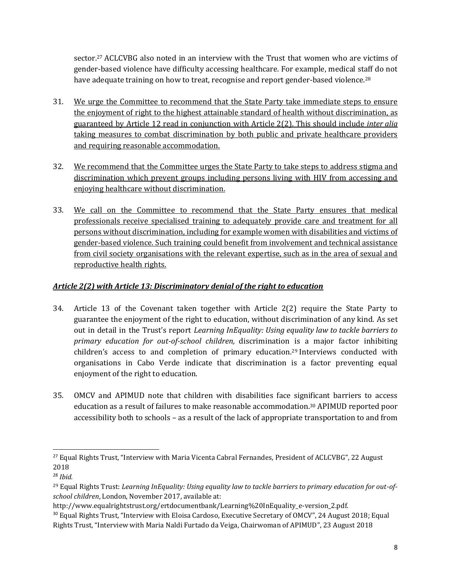sector. <sup>27</sup> ACLCVBG also noted in an interview with the Trust that women who are victims of gender-based violence have difficulty accessing healthcare. For example, medical staff do not have adequate training on how to treat, recognise and report gender-based violence.<sup>28</sup>

- 31. We urge the Committee to recommend that the State Party take immediate steps to ensure the enjoyment of right to the highest attainable standard of health without discrimination, as guaranteed by Article 12 read in conjunction with Article 2(2). This should include *inter alia*  taking measures to combat discrimination by both public and private healthcare providers and requiring reasonable accommodation.
- 32. We recommend that the Committee urges the State Party to take steps to address stigma and discrimination which prevent groups including persons living with HIV from accessing and enjoying healthcare without discrimination.
- 33. We call on the Committee to recommend that the State Party ensures that medical professionals receive specialised training to adequately provide care and treatment for all persons without discrimination, including for example women with disabilities and victims of gender-based violence. Such training could benefit from involvement and technical assistance from civil society organisations with the relevant expertise, such as in the area of sexual and reproductive health rights.

# *Article 2(2) with Article 13: Discriminatory denial of the right to education*

- 34. Article 13 of the Covenant taken together with Article 2(2) require the State Party to guarantee the enjoyment of the right to education, without discrimination of any kind. As set out in detail in the Trust's report *Learning InEquality: Using equality law to tackle barriers to primary education for out-of-school children,* discrimination is a major factor inhibiting children's access to and completion of primary education.<sup>29</sup> Interviews conducted with organisations in Cabo Verde indicate that discrimination is a factor preventing equal enjoyment of the right to education.
- 35. OMCV and APIMUD note that children with disabilities face significant barriers to access education as a result of failures to make reasonable accommodation.<sup>30</sup> APIMUD reported poor accessibility both to schools – as a result of the lack of appropriate transportation to and from

 $\overline{a}$ <sup>27</sup> Equal Rights Trust, "Interview with Maria Vicenta Cabral Fernandes, President of ACLCVBG", 22 August 2018

<sup>28</sup> *Ibid.*

<sup>29</sup> Equal Rights Trust: *Learning InEquality: Using equality law to tackle barriers to primary education for out-ofschool children*, London, November 2017, available at:

http://www.equalrightstrust.org/ertdocumentbank/Learning%20InEquality\_e-version\_2.pdf.

<sup>&</sup>lt;sup>30</sup> Equal Rights Trust, "Interview with Eloisa Cardoso, Executive Secretary of OMCV", 24 August 2018; Equal Rights Trust, "Interview with Maria Naldi Furtado da Veiga, Chairwoman of APIMUD", 23 August 2018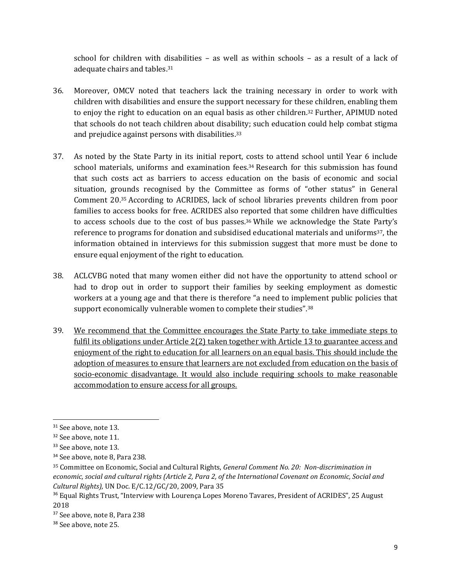school for children with disabilities – as well as within schools – as a result of a lack of adequate chairs and tables.<sup>31</sup>

- 36. Moreover, OMCV noted that teachers lack the training necessary in order to work with children with disabilities and ensure the support necessary for these children, enabling them to enjoy the right to education on an equal basis as other children.<sup>32</sup> Further, APIMUD noted that schools do not teach children about disability; such education could help combat stigma and prejudice against persons with disabilities.<sup>33</sup>
- 37. As noted by the State Party in its initial report, costs to attend school until Year 6 include school materials, uniforms and examination fees.<sup>34</sup> Research for this submission has found that such costs act as barriers to access education on the basis of economic and social situation, grounds recognised by the Committee as forms of "other status" in General Comment 20.<sup>35</sup> According to ACRIDES, lack of school libraries prevents children from poor families to access books for free. ACRIDES also reported that some children have difficulties to access schools due to the cost of bus passes.<sup>36</sup> While we acknowledge the State Party's reference to programs for donation and subsidised educational materials and uniforms37, the information obtained in interviews for this submission suggest that more must be done to ensure equal enjoyment of the right to education.
- 38. ACLCVBG noted that many women either did not have the opportunity to attend school or had to drop out in order to support their families by seeking employment as domestic workers at a young age and that there is therefore "a need to implement public policies that support economically vulnerable women to complete their studies".<sup>38</sup>
- 39. We recommend that the Committee encourages the State Party to take immediate steps to fulfil its obligations under Article 2(2) taken together with Article 13 to guarantee access and enjoyment of the right to education for all learners on an equal basis. This should include the adoption of measures to ensure that learners are not excluded from education on the basis of socio-economic disadvantage. It would also include requiring schools to make reasonable accommodation to ensure access for all groups.

<sup>&</sup>lt;sup>31</sup> See above, note 13.

<sup>&</sup>lt;sup>32</sup> See above, note 11.

<sup>&</sup>lt;sup>33</sup> See above, note 13.

<sup>34</sup> See above, note 8, Para 238.

<sup>35</sup> Committee on Economic, Social and Cultural Rights, *General Comment No. 20: Non-discrimination in economic, social and cultural rights (Article 2, Para 2, of the International Covenant on Economic, Social and Cultural Rights),* UN Doc. E/C.12/GC/20, 2009, Para 35

<sup>36</sup> Equal Rights Trust, "Interview with Lourença Lopes Moreno Tavares, President of ACRIDES", 25 August 2018

<sup>37</sup> See above, note 8, Para 238

<sup>&</sup>lt;sup>38</sup> See above, note 25.